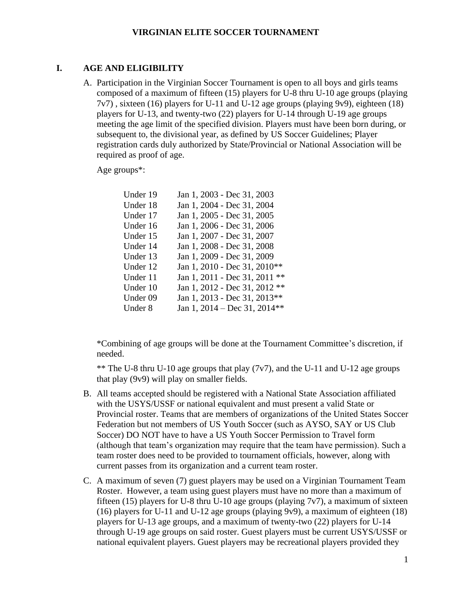### **I. AGE AND ELIGIBILITY**

A. Participation in the Virginian Soccer Tournament is open to all boys and girls teams composed of a maximum of fifteen (15) players for U-8 thru U-10 age groups (playing 7v7) , sixteen (16) players for U-11 and U-12 age groups (playing 9v9), eighteen (18) players for U-13, and twenty-two (22) players for U-14 through U-19 age groups meeting the age limit of the specified division. Players must have been born during, or subsequent to, the divisional year, as defined by US Soccer Guidelines; Player registration cards duly authorized by State/Provincial or National Association will be required as proof of age.

Age groups\*:

| Under 19 | Jan 1, 2003 - Dec 31, 2003    |
|----------|-------------------------------|
| Under 18 | Jan 1, 2004 - Dec 31, 2004    |
| Under 17 | Jan 1, 2005 - Dec 31, 2005    |
| Under 16 | Jan 1, 2006 - Dec 31, 2006    |
| Under 15 | Jan 1, 2007 - Dec 31, 2007    |
| Under 14 | Jan 1, 2008 - Dec 31, 2008    |
| Under 13 | Jan 1, 2009 - Dec 31, 2009    |
| Under 12 | Jan 1, 2010 - Dec 31, 2010**  |
| Under 11 | Jan 1, 2011 - Dec 31, 2011 ** |
| Under 10 | Jan 1, 2012 - Dec 31, 2012 ** |
| Under 09 | Jan 1, 2013 - Dec 31, 2013**  |
| Under 8  | Jan 1, 2014 – Dec 31, 2014**  |

\*Combining of age groups will be done at the Tournament Committee's discretion, if needed.

\*\* The U-8 thru U-10 age groups that play (7v7), and the U-11 and U-12 age groups that play (9v9) will play on smaller fields.

- B. All teams accepted should be registered with a National State Association affiliated with the USYS/USSF or national equivalent and must present a valid State or Provincial roster. Teams that are members of organizations of the United States Soccer Federation but not members of US Youth Soccer (such as AYSO, SAY or US Club Soccer) DO NOT have to have a US Youth Soccer Permission to Travel form (although that team's organization may require that the team have permission). Such a team roster does need to be provided to tournament officials, however, along with current passes from its organization and a current team roster.
- C. A maximum of seven (7) guest players may be used on a Virginian Tournament Team Roster. However, a team using guest players must have no more than a maximum of fifteen (15) players for U-8 thru U-10 age groups (playing  $7v7$ ), a maximum of sixteen (16) players for U-11 and U-12 age groups (playing 9v9), a maximum of eighteen (18) players for U-13 age groups, and a maximum of twenty-two (22) players for U-14 through U-19 age groups on said roster. Guest players must be current USYS/USSF or national equivalent players. Guest players may be recreational players provided they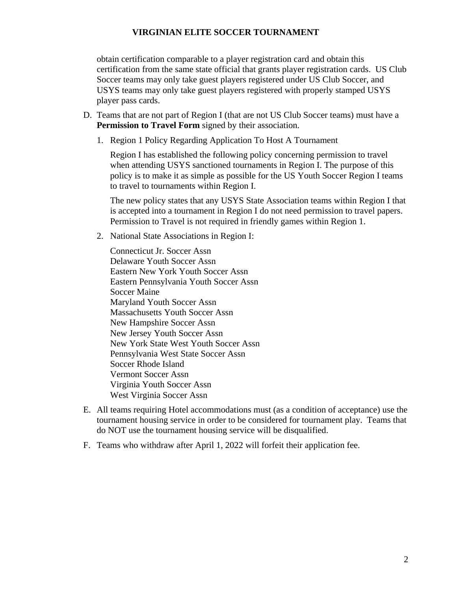obtain certification comparable to a player registration card and obtain this certification from the same state official that grants player registration cards. US Club Soccer teams may only take guest players registered under US Club Soccer, and USYS teams may only take guest players registered with properly stamped USYS player pass cards.

- D. Teams that are not part of Region I (that are not US Club Soccer teams) must have a **Permission to Travel Form** signed by their association.
	- 1. Region 1 Policy Regarding Application To Host A Tournament

Region I has established the following policy concerning permission to travel when attending USYS sanctioned tournaments in Region I. The purpose of this policy is to make it as simple as possible for the US Youth Soccer Region I teams to travel to tournaments within Region I.

The new policy states that any USYS State Association teams within Region I that is accepted into a tournament in Region I do not need permission to travel papers. Permission to Travel is not required in friendly games within Region 1.

2. National State Associations in Region I:

Connecticut Jr. Soccer Assn Delaware Youth Soccer Assn Eastern New York Youth Soccer Assn Eastern Pennsylvania Youth Soccer Assn Soccer Maine Maryland Youth Soccer Assn Massachusetts Youth Soccer Assn New Hampshire Soccer Assn New Jersey Youth Soccer Assn New York State West Youth Soccer Assn Pennsylvania West State Soccer Assn Soccer Rhode Island Vermont Soccer Assn Virginia Youth Soccer Assn West Virginia Soccer Assn

- E. All teams requiring Hotel accommodations must (as a condition of acceptance) use the tournament housing service in order to be considered for tournament play. Teams that do NOT use the tournament housing service will be disqualified.
- F. Teams who withdraw after April 1, 2022 will forfeit their application fee.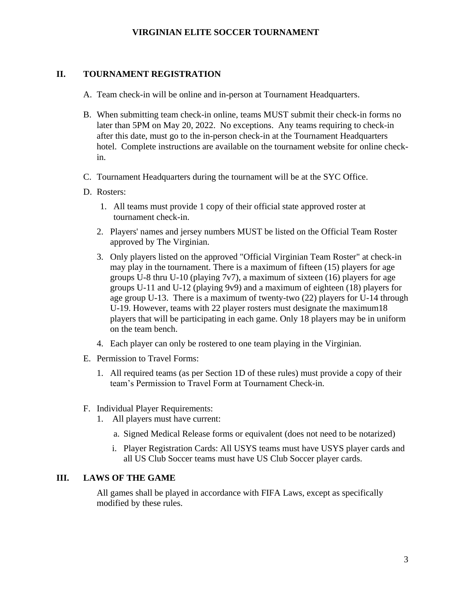## **II. TOURNAMENT REGISTRATION**

- A. Team check-in will be online and in-person at Tournament Headquarters.
- B. When submitting team check-in online, teams MUST submit their check-in forms no later than 5PM on May 20, 2022. No exceptions. Any teams requiring to check-in after this date, must go to the in-person check-in at the Tournament Headquarters hotel. Complete instructions are available on the tournament website for online checkin.
- C. Tournament Headquarters during the tournament will be at the SYC Office.
- D. Rosters:
	- 1. All teams must provide 1 copy of their official state approved roster at tournament check-in.
	- 2. Players' names and jersey numbers MUST be listed on the Official Team Roster approved by The Virginian.
	- 3. Only players listed on the approved "Official Virginian Team Roster" at check-in may play in the tournament. There is a maximum of fifteen (15) players for age groups U-8 thru U-10 (playing  $7v7$ ), a maximum of sixteen (16) players for age groups U-11 and U-12 (playing 9v9) and a maximum of eighteen (18) players for age group U-13. There is a maximum of twenty-two (22) players for U-14 through U-19. However, teams with 22 player rosters must designate the maximum18 players that will be participating in each game. Only 18 players may be in uniform on the team bench.
	- 4. Each player can only be rostered to one team playing in the Virginian.
- E. Permission to Travel Forms:
	- 1. All required teams (as per Section 1D of these rules) must provide a copy of their team's Permission to Travel Form at Tournament Check-in.
- F. Individual Player Requirements:
	- 1. All players must have current:
		- a. Signed Medical Release forms or equivalent (does not need to be notarized)
		- i. Player Registration Cards: All USYS teams must have USYS player cards and all US Club Soccer teams must have US Club Soccer player cards.

### **III. LAWS OF THE GAME**

All games shall be played in accordance with FIFA Laws, except as specifically modified by these rules.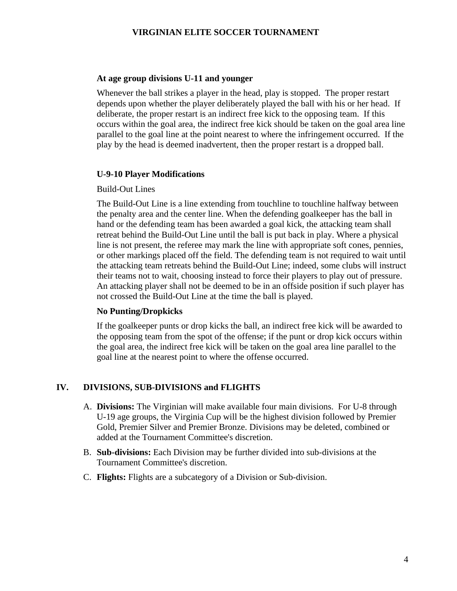#### **At age group divisions U-11 and younger**

Whenever the ball strikes a player in the head, play is stopped. The proper restart depends upon whether the player deliberately played the ball with his or her head. If deliberate, the proper restart is an indirect free kick to the opposing team. If this occurs within the goal area, the indirect free kick should be taken on the goal area line parallel to the goal line at the point nearest to where the infringement occurred. If the play by the head is deemed inadvertent, then the proper restart is a dropped ball.

#### **U-9-10 Player Modifications**

#### Build-Out Lines

The Build-Out Line is a line extending from touchline to touchline halfway between the penalty area and the center line. When the defending goalkeeper has the ball in hand or the defending team has been awarded a goal kick, the attacking team shall retreat behind the Build-Out Line until the ball is put back in play. Where a physical line is not present, the referee may mark the line with appropriate soft cones, pennies, or other markings placed off the field. The defending team is not required to wait until the attacking team retreats behind the Build-Out Line; indeed, some clubs will instruct their teams not to wait, choosing instead to force their players to play out of pressure. An attacking player shall not be deemed to be in an offside position if such player has not crossed the Build-Out Line at the time the ball is played.

#### **No Punting/Dropkicks**

If the goalkeeper punts or drop kicks the ball, an indirect free kick will be awarded to the opposing team from the spot of the offense; if the punt or drop kick occurs within the goal area, the indirect free kick will be taken on the goal area line parallel to the goal line at the nearest point to where the offense occurred.

### **IV. DIVISIONS, SUB-DIVISIONS and FLIGHTS**

- A. **Divisions:** The Virginian will make available four main divisions. For U-8 through U-19 age groups, the Virginia Cup will be the highest division followed by Premier Gold, Premier Silver and Premier Bronze. Divisions may be deleted, combined or added at the Tournament Committee's discretion.
- B. **Sub-divisions:** Each Division may be further divided into sub-divisions at the Tournament Committee's discretion.
- C. **Flights:** Flights are a subcategory of a Division or Sub-division.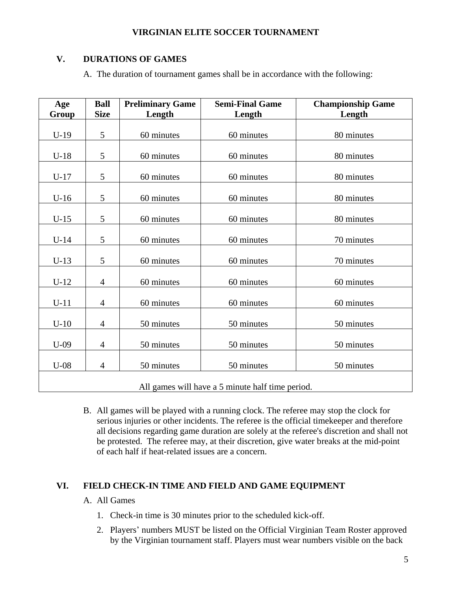# **V. DURATIONS OF GAMES**

A. The duration of tournament games shall be in accordance with the following:

| Age<br>Group                                     | <b>Ball</b><br><b>Size</b> | <b>Preliminary Game</b><br>Length | <b>Semi-Final Game</b><br>Length | <b>Championship Game</b><br>Length |  |
|--------------------------------------------------|----------------------------|-----------------------------------|----------------------------------|------------------------------------|--|
|                                                  |                            |                                   |                                  |                                    |  |
| $U-19$                                           | 5                          | 60 minutes                        | 60 minutes                       | 80 minutes                         |  |
| $U-18$                                           | 5                          | 60 minutes                        | 60 minutes                       | 80 minutes                         |  |
| $U-17$                                           | 5                          | 60 minutes                        | 60 minutes                       | 80 minutes                         |  |
| $U-16$                                           | 5                          | 60 minutes                        | 60 minutes                       | 80 minutes                         |  |
| $U-15$                                           | 5                          | 60 minutes                        | 60 minutes                       | 80 minutes                         |  |
| $U-14$                                           | 5                          | 60 minutes                        | 60 minutes                       | 70 minutes                         |  |
| $U-13$                                           | 5                          | 60 minutes                        | 60 minutes                       | 70 minutes                         |  |
| $U-12$                                           | $\overline{4}$             | 60 minutes                        | 60 minutes                       | 60 minutes                         |  |
| $U-11$                                           | $\overline{4}$             | 60 minutes                        | 60 minutes                       | 60 minutes                         |  |
| $U-10$                                           | $\overline{4}$             | 50 minutes                        | 50 minutes                       | 50 minutes                         |  |
| $U-09$                                           | 4                          | 50 minutes                        | 50 minutes                       | 50 minutes                         |  |
| $U-08$                                           | 4                          | 50 minutes                        | 50 minutes                       | 50 minutes                         |  |
| All games will have a 5 minute half time period. |                            |                                   |                                  |                                    |  |

B. All games will be played with a running clock. The referee may stop the clock for serious injuries or other incidents. The referee is the official timekeeper and therefore all decisions regarding game duration are solely at the referee's discretion and shall not be protested. The referee may, at their discretion, give water breaks at the mid-point of each half if heat-related issues are a concern.

## **VI. FIELD CHECK-IN TIME AND FIELD AND GAME EQUIPMENT**

### A. All Games

- 1. Check-in time is 30 minutes prior to the scheduled kick-off.
- 2. Players' numbers MUST be listed on the Official Virginian Team Roster approved by the Virginian tournament staff. Players must wear numbers visible on the back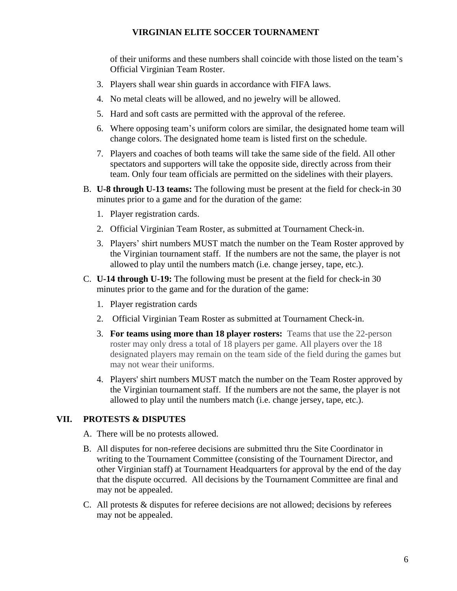of their uniforms and these numbers shall coincide with those listed on the team's Official Virginian Team Roster.

- 3. Players shall wear shin guards in accordance with FIFA laws.
- 4. No metal cleats will be allowed, and no jewelry will be allowed.
- 5. Hard and soft casts are permitted with the approval of the referee.
- 6. Where opposing team's uniform colors are similar, the designated home team will change colors. The designated home team is listed first on the schedule.
- 7. Players and coaches of both teams will take the same side of the field. All other spectators and supporters will take the opposite side, directly across from their team. Only four team officials are permitted on the sidelines with their players.
- B. **U-8 through U-13 teams:** The following must be present at the field for check-in 30 minutes prior to a game and for the duration of the game:
	- 1. Player registration cards.
	- 2. Official Virginian Team Roster, as submitted at Tournament Check-in.
	- 3. Players' shirt numbers MUST match the number on the Team Roster approved by the Virginian tournament staff. If the numbers are not the same, the player is not allowed to play until the numbers match (i.e. change jersey, tape, etc.).
- C. **U-14 through U-19:** The following must be present at the field for check-in 30 minutes prior to the game and for the duration of the game:
	- 1. Player registration cards
	- 2. Official Virginian Team Roster as submitted at Tournament Check-in.
	- 3. **For teams using more than 18 player rosters:** Teams that use the 22-person roster may only dress a total of 18 players per game. All players over the 18 designated players may remain on the team side of the field during the games but may not wear their uniforms.
	- 4. Players' shirt numbers MUST match the number on the Team Roster approved by the Virginian tournament staff. If the numbers are not the same, the player is not allowed to play until the numbers match (i.e. change jersey, tape, etc.).

### **VII. PROTESTS & DISPUTES**

A. There will be no protests allowed.

- B. All disputes for non-referee decisions are submitted thru the Site Coordinator in writing to the Tournament Committee (consisting of the Tournament Director, and other Virginian staff) at Tournament Headquarters for approval by the end of the day that the dispute occurred. All decisions by the Tournament Committee are final and may not be appealed.
- C. All protests & disputes for referee decisions are not allowed; decisions by referees may not be appealed.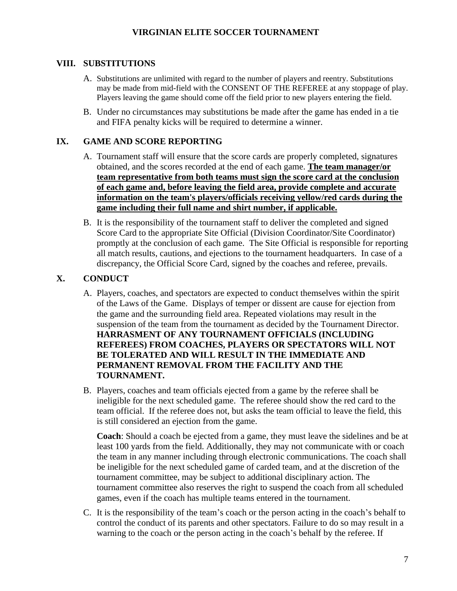## **VIII. SUBSTITUTIONS**

- A. Substitutions are unlimited with regard to the number of players and reentry. Substitutions may be made from mid-field with the CONSENT OF THE REFEREE at any stoppage of play. Players leaving the game should come off the field prior to new players entering the field.
- B. Under no circumstances may substitutions be made after the game has ended in a tie and FIFA penalty kicks will be required to determine a winner.

# **IX. GAME AND SCORE REPORTING**

- A. Tournament staff will ensure that the score cards are properly completed, signatures obtained, and the scores recorded at the end of each game. **The team manager/or team representative from both teams must sign the score card at the conclusion of each game and, before leaving the field area, provide complete and accurate information on the team's players/officials receiving yellow/red cards during the game including their full name and shirt number, if applicable.**
- B. It is the responsibility of the tournament staff to deliver the completed and signed Score Card to the appropriate Site Official (Division Coordinator/Site Coordinator) promptly at the conclusion of each game. The Site Official is responsible for reporting all match results, cautions, and ejections to the tournament headquarters. In case of a discrepancy, the Official Score Card, signed by the coaches and referee, prevails.

# **X. CONDUCT**

- A. Players, coaches, and spectators are expected to conduct themselves within the spirit of the Laws of the Game. Displays of temper or dissent are cause for ejection from the game and the surrounding field area. Repeated violations may result in the suspension of the team from the tournament as decided by the Tournament Director. **HARRASMENT OF ANY TOURNAMENT OFFICIALS (INCLUDING REFEREES) FROM COACHES, PLAYERS OR SPECTATORS WILL NOT BE TOLERATED AND WILL RESULT IN THE IMMEDIATE AND PERMANENT REMOVAL FROM THE FACILITY AND THE TOURNAMENT.**
- B. Players, coaches and team officials ejected from a game by the referee shall be ineligible for the next scheduled game. The referee should show the red card to the team official. If the referee does not, but asks the team official to leave the field, this is still considered an ejection from the game.

**Coach**: Should a coach be ejected from a game, they must leave the sidelines and be at least 100 yards from the field. Additionally, they may not communicate with or coach the team in any manner including through electronic communications. The coach shall be ineligible for the next scheduled game of carded team, and at the discretion of the tournament committee, may be subject to additional disciplinary action. The tournament committee also reserves the right to suspend the coach from all scheduled games, even if the coach has multiple teams entered in the tournament.

C. It is the responsibility of the team's coach or the person acting in the coach's behalf to control the conduct of its parents and other spectators. Failure to do so may result in a warning to the coach or the person acting in the coach's behalf by the referee. If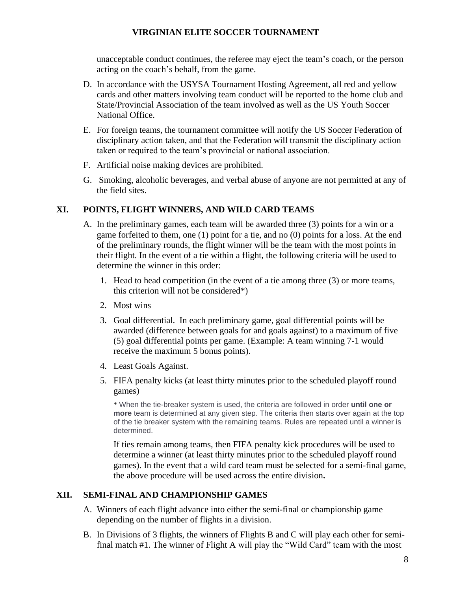unacceptable conduct continues, the referee may eject the team's coach, or the person acting on the coach's behalf, from the game.

- D. In accordance with the USYSA Tournament Hosting Agreement, all red and yellow cards and other matters involving team conduct will be reported to the home club and State/Provincial Association of the team involved as well as the US Youth Soccer National Office.
- E. For foreign teams, the tournament committee will notify the US Soccer Federation of disciplinary action taken, and that the Federation will transmit the disciplinary action taken or required to the team's provincial or national association.
- F. Artificial noise making devices are prohibited.
- G. Smoking, alcoholic beverages, and verbal abuse of anyone are not permitted at any of the field sites.

# **XI. POINTS, FLIGHT WINNERS, AND WILD CARD TEAMS**

- A. In the preliminary games, each team will be awarded three (3) points for a win or a game forfeited to them, one (1) point for a tie, and no (0) points for a loss. At the end of the preliminary rounds, the flight winner will be the team with the most points in their flight. In the event of a tie within a flight, the following criteria will be used to determine the winner in this order:
	- 1. Head to head competition (in the event of a tie among three (3) or more teams, this criterion will not be considered\*)
	- 2. Most wins
	- 3. Goal differential. In each preliminary game, goal differential points will be awarded (difference between goals for and goals against) to a maximum of five (5) goal differential points per game. (Example: A team winning 7-1 would receive the maximum 5 bonus points).
	- 4. Least Goals Against.
	- 5. FIFA penalty kicks (at least thirty minutes prior to the scheduled playoff round games)

\* When the tie-breaker system is used, the criteria are followed in order **until one or more** team is determined at any given step. The criteria then starts over again at the top of the tie breaker system with the remaining teams. Rules are repeated until a winner is determined.

If ties remain among teams, then FIFA penalty kick procedures will be used to determine a winner (at least thirty minutes prior to the scheduled playoff round games). In the event that a wild card team must be selected for a semi-final game, the above procedure will be used across the entire division**.**

## **XII. SEMI-FINAL AND CHAMPIONSHIP GAMES**

- A. Winners of each flight advance into either the semi-final or championship game depending on the number of flights in a division.
- B. In Divisions of 3 flights, the winners of Flights B and C will play each other for semifinal match #1. The winner of Flight A will play the "Wild Card" team with the most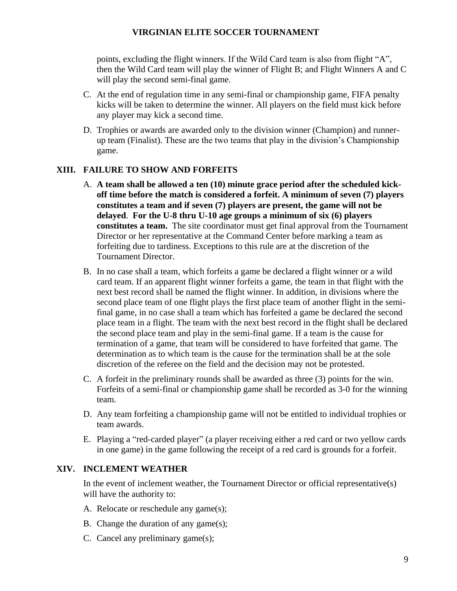points, excluding the flight winners. If the Wild Card team is also from flight "A", then the Wild Card team will play the winner of Flight B; and Flight Winners A and C will play the second semi-final game.

- C. At the end of regulation time in any semi-final or championship game, FIFA penalty kicks will be taken to determine the winner. All players on the field must kick before any player may kick a second time.
- D. Trophies or awards are awarded only to the division winner (Champion) and runnerup team (Finalist). These are the two teams that play in the division's Championship game.

## **XIII. FAILURE TO SHOW AND FORFEITS**

- A. **A team shall be allowed a ten (10) minute grace period after the scheduled kickoff time before the match is considered a forfeit. A minimum of seven (7) players constitutes a team and if seven (7) players are present, the game will not be delayed**. **For the U-8 thru U-10 age groups a minimum of six (6) players constitutes a team.** The site coordinator must get final approval from the Tournament Director or her representative at the Command Center before marking a team as forfeiting due to tardiness. Exceptions to this rule are at the discretion of the Tournament Director.
- B. In no case shall a team, which forfeits a game be declared a flight winner or a wild card team. If an apparent flight winner forfeits a game, the team in that flight with the next best record shall be named the flight winner. In addition, in divisions where the second place team of one flight plays the first place team of another flight in the semifinal game, in no case shall a team which has forfeited a game be declared the second place team in a flight. The team with the next best record in the flight shall be declared the second place team and play in the semi-final game. If a team is the cause for termination of a game, that team will be considered to have forfeited that game. The determination as to which team is the cause for the termination shall be at the sole discretion of the referee on the field and the decision may not be protested.
- C. A forfeit in the preliminary rounds shall be awarded as three (3) points for the win. Forfeits of a semi-final or championship game shall be recorded as 3-0 for the winning team.
- D. Any team forfeiting a championship game will not be entitled to individual trophies or team awards.
- E. Playing a "red-carded player" (a player receiving either a red card or two yellow cards in one game) in the game following the receipt of a red card is grounds for a forfeit.

### **XIV. INCLEMENT WEATHER**

In the event of inclement weather, the Tournament Director or official representative(s) will have the authority to:

- A. Relocate or reschedule any game(s);
- B. Change the duration of any game(s);
- C. Cancel any preliminary game(s);